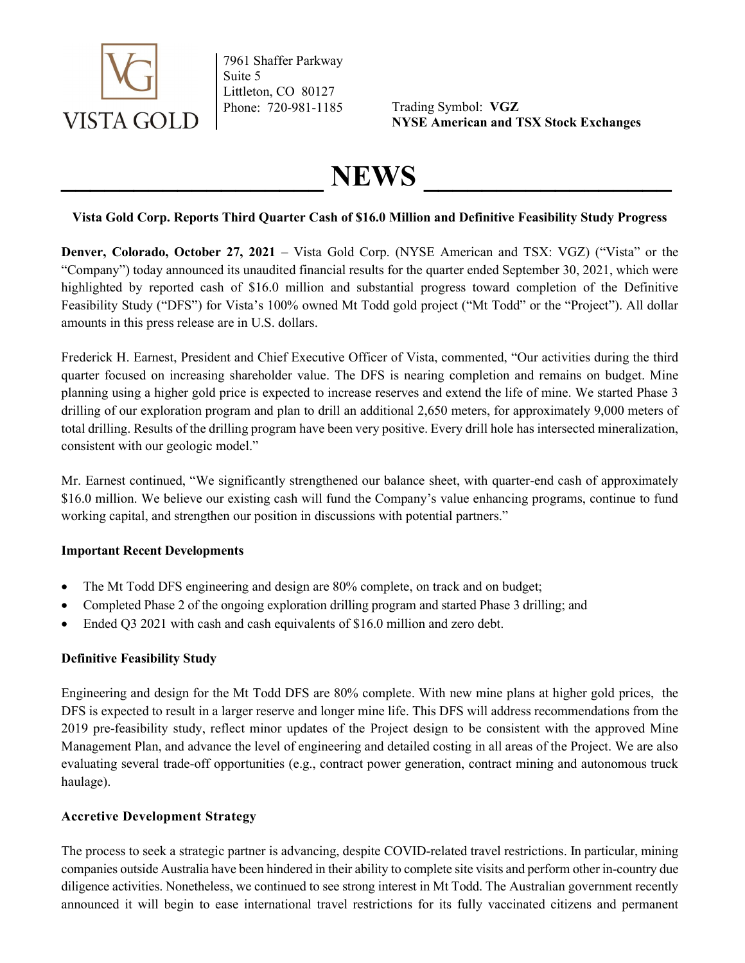

7961 Shaffer Parkway Suite 5 Littleton, CO 80127

Phone: 720-981-1185 Trading Symbol: VGZ NYSE American and TSX Stock Exchanges

# NEWS

## Vista Gold Corp. Reports Third Quarter Cash of \$16.0 Million and Definitive Feasibility Study Progress

Denver, Colorado, October 27, 2021 – Vista Gold Corp. (NYSE American and TSX: VGZ) ("Vista" or the "Company") today announced its unaudited financial results for the quarter ended September 30, 2021, which were highlighted by reported cash of \$16.0 million and substantial progress toward completion of the Definitive Feasibility Study ("DFS") for Vista's 100% owned Mt Todd gold project ("Mt Todd" or the "Project"). All dollar amounts in this press release are in U.S. dollars.

Frederick H. Earnest, President and Chief Executive Officer of Vista, commented, "Our activities during the third quarter focused on increasing shareholder value. The DFS is nearing completion and remains on budget. Mine planning using a higher gold price is expected to increase reserves and extend the life of mine. We started Phase 3 drilling of our exploration program and plan to drill an additional 2,650 meters, for approximately 9,000 meters of total drilling. Results of the drilling program have been very positive. Every drill hole has intersected mineralization, consistent with our geologic model."

Mr. Earnest continued, "We significantly strengthened our balance sheet, with quarter-end cash of approximately \$16.0 million. We believe our existing cash will fund the Company's value enhancing programs, continue to fund working capital, and strengthen our position in discussions with potential partners."

## Important Recent Developments

- The Mt Todd DFS engineering and design are 80% complete, on track and on budget;
- Completed Phase 2 of the ongoing exploration drilling program and started Phase 3 drilling; and
- Ended Q3 2021 with cash and cash equivalents of \$16.0 million and zero debt.

# Definitive Feasibility Study

Engineering and design for the Mt Todd DFS are 80% complete. With new mine plans at higher gold prices, the DFS is expected to result in a larger reserve and longer mine life. This DFS will address recommendations from the 2019 pre-feasibility study, reflect minor updates of the Project design to be consistent with the approved Mine Management Plan, and advance the level of engineering and detailed costing in all areas of the Project. We are also evaluating several trade-off opportunities (e.g., contract power generation, contract mining and autonomous truck haulage).

# Accretive Development Strategy

The process to seek a strategic partner is advancing, despite COVID-related travel restrictions. In particular, mining companies outside Australia have been hindered in their ability to complete site visits and perform other in-country due diligence activities. Nonetheless, we continued to see strong interest in Mt Todd. The Australian government recently announced it will begin to ease international travel restrictions for its fully vaccinated citizens and permanent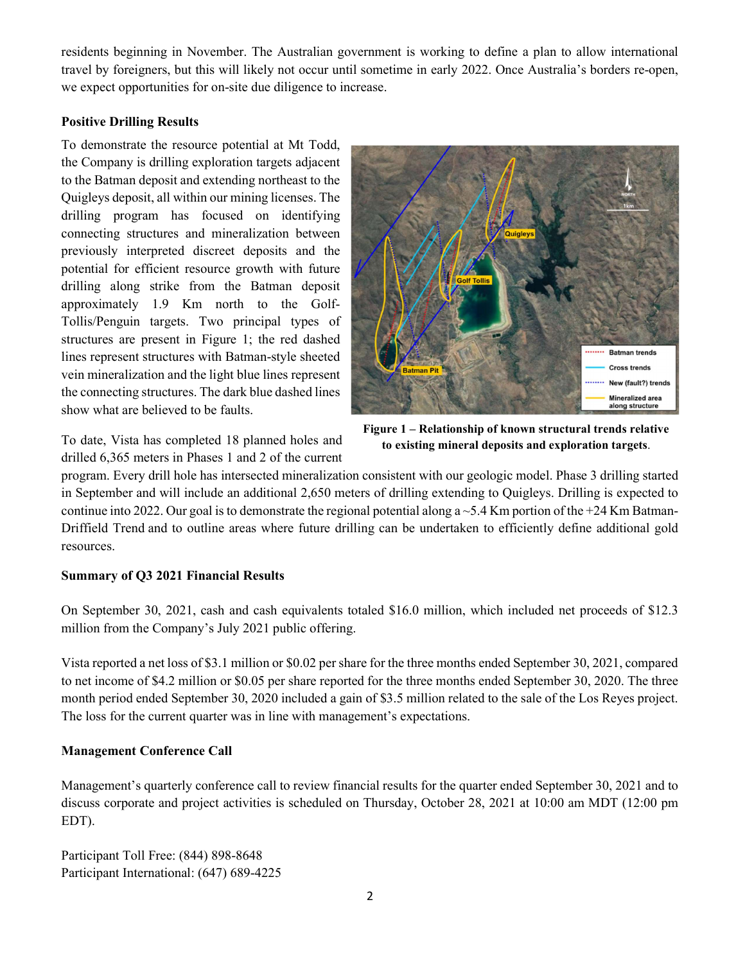residents beginning in November. The Australian government is working to define a plan to allow international travel by foreigners, but this will likely not occur until sometime in early 2022. Once Australia's borders re-open, we expect opportunities for on-site due diligence to increase.

#### Positive Drilling Results

To demonstrate the resource potential at Mt Todd, the Company is drilling exploration targets adjacent to the Batman deposit and extending northeast to the Quigleys deposit, all within our mining licenses. The drilling program has focused on identifying connecting structures and mineralization between previously interpreted discreet deposits and the potential for efficient resource growth with future drilling along strike from the Batman deposit approximately 1.9 Km north to the Golf-Tollis/Penguin targets. Two principal types of structures are present in Figure 1; the red dashed lines represent structures with Batman-style sheeted vein mineralization and the light blue lines represent the connecting structures. The dark blue dashed lines show what are believed to be faults.



To date, Vista has completed 18 planned holes and drilled 6,365 meters in Phases 1 and 2 of the current

Figure 1 – Relationship of known structural trends relative to existing mineral deposits and exploration targets.

program. Every drill hole has intersected mineralization consistent with our geologic model. Phase 3 drilling started in September and will include an additional 2,650 meters of drilling extending to Quigleys. Drilling is expected to continue into 2022. Our goal is to demonstrate the regional potential along  $a \sim 5.4$  Km portion of the +24 Km Batman-Driffield Trend and to outline areas where future drilling can be undertaken to efficiently define additional gold resources.

## Summary of Q3 2021 Financial Results

On September 30, 2021, cash and cash equivalents totaled \$16.0 million, which included net proceeds of \$12.3 million from the Company's July 2021 public offering.

Vista reported a net loss of \$3.1 million or \$0.02 per share for the three months ended September 30, 2021, compared to net income of \$4.2 million or \$0.05 per share reported for the three months ended September 30, 2020. The three month period ended September 30, 2020 included a gain of \$3.5 million related to the sale of the Los Reyes project. The loss for the current quarter was in line with management's expectations.

#### Management Conference Call

Management's quarterly conference call to review financial results for the quarter ended September 30, 2021 and to discuss corporate and project activities is scheduled on Thursday, October 28, 2021 at 10:00 am MDT (12:00 pm EDT).

Participant Toll Free: (844) 898-8648 Participant International: (647) 689-4225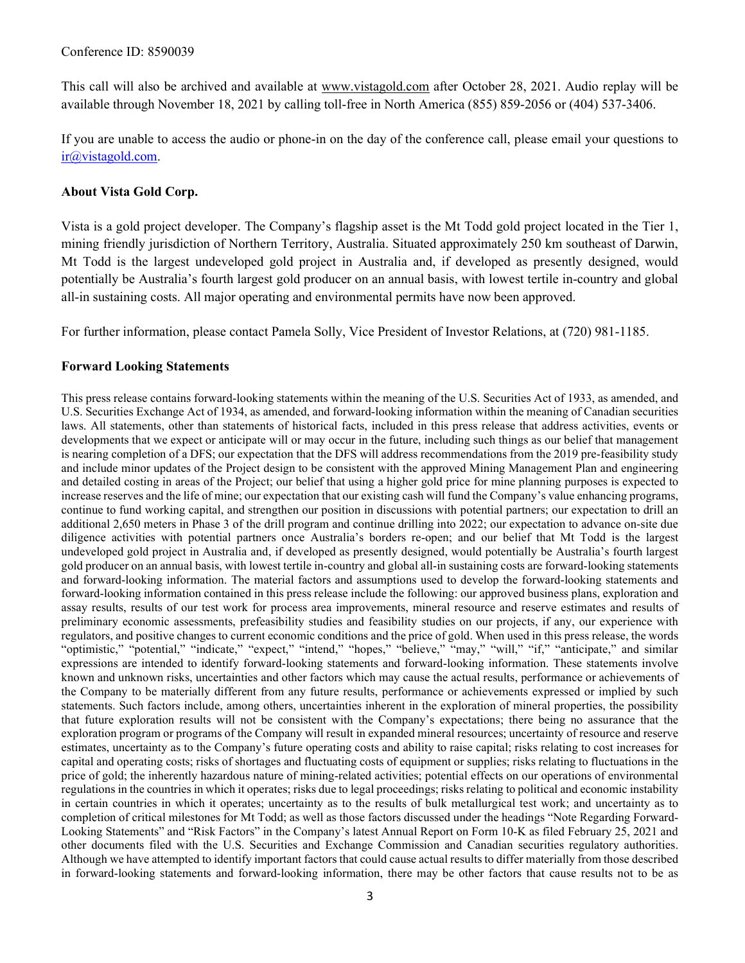This call will also be archived and available at www.vistagold.com after October 28, 2021. Audio replay will be available through November 18, 2021 by calling toll-free in North America (855) 859-2056 or (404) 537-3406.

If you are unable to access the audio or phone-in on the day of the conference call, please email your questions to ir@vistagold.com.

#### About Vista Gold Corp.

Vista is a gold project developer. The Company's flagship asset is the Mt Todd gold project located in the Tier 1, mining friendly jurisdiction of Northern Territory, Australia. Situated approximately 250 km southeast of Darwin, Mt Todd is the largest undeveloped gold project in Australia and, if developed as presently designed, would potentially be Australia's fourth largest gold producer on an annual basis, with lowest tertile in-country and global all-in sustaining costs. All major operating and environmental permits have now been approved.

For further information, please contact Pamela Solly, Vice President of Investor Relations, at (720) 981-1185.

#### Forward Looking Statements

This press release contains forward-looking statements within the meaning of the U.S. Securities Act of 1933, as amended, and U.S. Securities Exchange Act of 1934, as amended, and forward-looking information within the meaning of Canadian securities laws. All statements, other than statements of historical facts, included in this press release that address activities, events or developments that we expect or anticipate will or may occur in the future, including such things as our belief that management is nearing completion of a DFS; our expectation that the DFS will address recommendations from the 2019 pre-feasibility study and include minor updates of the Project design to be consistent with the approved Mining Management Plan and engineering and detailed costing in areas of the Project; our belief that using a higher gold price for mine planning purposes is expected to increase reserves and the life of mine; our expectation that our existing cash will fund the Company's value enhancing programs, continue to fund working capital, and strengthen our position in discussions with potential partners; our expectation to drill an additional 2,650 meters in Phase 3 of the drill program and continue drilling into 2022; our expectation to advance on-site due diligence activities with potential partners once Australia's borders re-open; and our belief that Mt Todd is the largest undeveloped gold project in Australia and, if developed as presently designed, would potentially be Australia's fourth largest gold producer on an annual basis, with lowest tertile in-country and global all-in sustaining costs are forward-looking statements and forward-looking information. The material factors and assumptions used to develop the forward-looking statements and forward-looking information contained in this press release include the following: our approved business plans, exploration and assay results, results of our test work for process area improvements, mineral resource and reserve estimates and results of preliminary economic assessments, prefeasibility studies and feasibility studies on our projects, if any, our experience with regulators, and positive changes to current economic conditions and the price of gold. When used in this press release, the words "optimistic," "potential," "indicate," "expect," "intend," "hopes," "believe," "may," "will," "if," "anticipate," and similar expressions are intended to identify forward-looking statements and forward-looking information. These statements involve known and unknown risks, uncertainties and other factors which may cause the actual results, performance or achievements of the Company to be materially different from any future results, performance or achievements expressed or implied by such statements. Such factors include, among others, uncertainties inherent in the exploration of mineral properties, the possibility that future exploration results will not be consistent with the Company's expectations; there being no assurance that the exploration program or programs of the Company will result in expanded mineral resources; uncertainty of resource and reserve estimates, uncertainty as to the Company's future operating costs and ability to raise capital; risks relating to cost increases for capital and operating costs; risks of shortages and fluctuating costs of equipment or supplies; risks relating to fluctuations in the price of gold; the inherently hazardous nature of mining-related activities; potential effects on our operations of environmental regulations in the countries in which it operates; risks due to legal proceedings; risks relating to political and economic instability in certain countries in which it operates; uncertainty as to the results of bulk metallurgical test work; and uncertainty as to completion of critical milestones for Mt Todd; as well as those factors discussed under the headings "Note Regarding Forward-Looking Statements" and "Risk Factors" in the Company's latest Annual Report on Form 10-K as filed February 25, 2021 and other documents filed with the U.S. Securities and Exchange Commission and Canadian securities regulatory authorities. Although we have attempted to identify important factors that could cause actual results to differ materially from those described in forward-looking statements and forward-looking information, there may be other factors that cause results not to be as